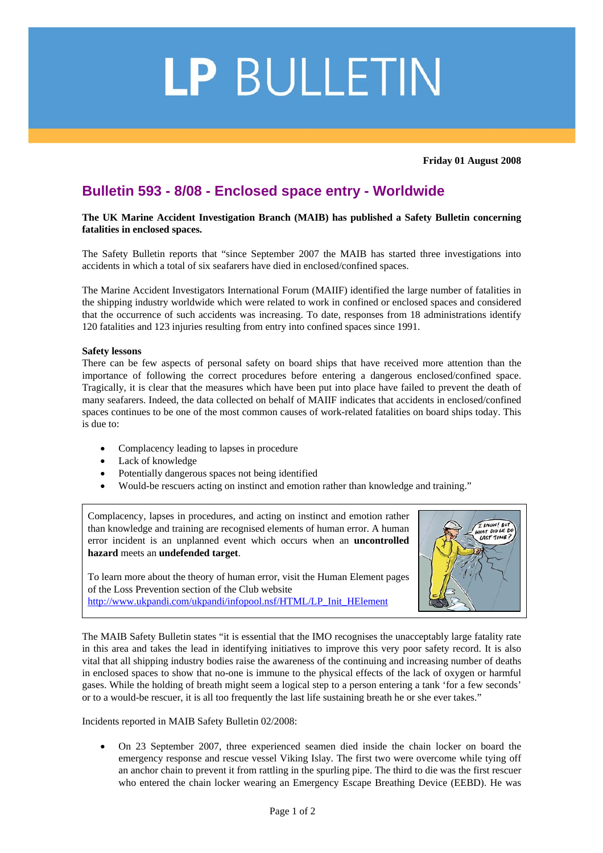## LP BULLETIN

**Friday 01 August 2008** 

## **Bulletin 593 - 8/08 - Enclosed space entry - Worldwide**

**The UK Marine Accident Investigation Branch (MAIB) has published a Safety Bulletin concerning fatalities in enclosed spaces.** 

The Safety Bulletin reports that "since September 2007 the MAIB has started three investigations into accidents in which a total of six seafarers have died in enclosed/confined spaces.

The Marine Accident Investigators International Forum (MAIIF) identified the large number of fatalities in the shipping industry worldwide which were related to work in confined or enclosed spaces and considered that the occurrence of such accidents was increasing. To date, responses from 18 administrations identify 120 fatalities and 123 injuries resulting from entry into confined spaces since 1991.

## **Safety lessons**

There can be few aspects of personal safety on board ships that have received more attention than the importance of following the correct procedures before entering a dangerous enclosed/confined space. Tragically, it is clear that the measures which have been put into place have failed to prevent the death of many seafarers. Indeed, the data collected on behalf of MAIIF indicates that accidents in enclosed/confined spaces continues to be one of the most common causes of work-related fatalities on board ships today. This is due to:

- Complacency leading to lapses in procedure
- Lack of knowledge
- Potentially dangerous spaces not being identified
- Would-be rescuers acting on instinct and emotion rather than knowledge and training."

Complacency, lapses in procedures, and acting on instinct and emotion rather than knowledge and training are recognised elements of human error. A human error incident is an unplanned event which occurs when an **uncontrolled hazard** meets an **undefended target**.

To learn more about the theory of human error, visit the Human Element pages of the Loss Prevention section of the Club website [http://www.ukpandi.com/ukpandi/infopool.nsf/HTML/LP\\_Init\\_HElement](http://www.ukpandi.com/ukpandi/infopool.nsf/HTML/LP_Init_HElement)



The MAIB Safety Bulletin states "it is essential that the IMO recognises the unacceptably large fatality rate in this area and takes the lead in identifying initiatives to improve this very poor safety record. It is also vital that all shipping industry bodies raise the awareness of the continuing and increasing number of deaths in enclosed spaces to show that no-one is immune to the physical effects of the lack of oxygen or harmful gases. While the holding of breath might seem a logical step to a person entering a tank 'for a few seconds' or to a would-be rescuer, it is all too frequently the last life sustaining breath he or she ever takes."

Incidents reported in MAIB Safety Bulletin 02/2008:

• On 23 September 2007, three experienced seamen died inside the chain locker on board the emergency response and rescue vessel Viking Islay. The first two were overcome while tying off an anchor chain to prevent it from rattling in the spurling pipe. The third to die was the first rescuer who entered the chain locker wearing an Emergency Escape Breathing Device (EEBD). He was